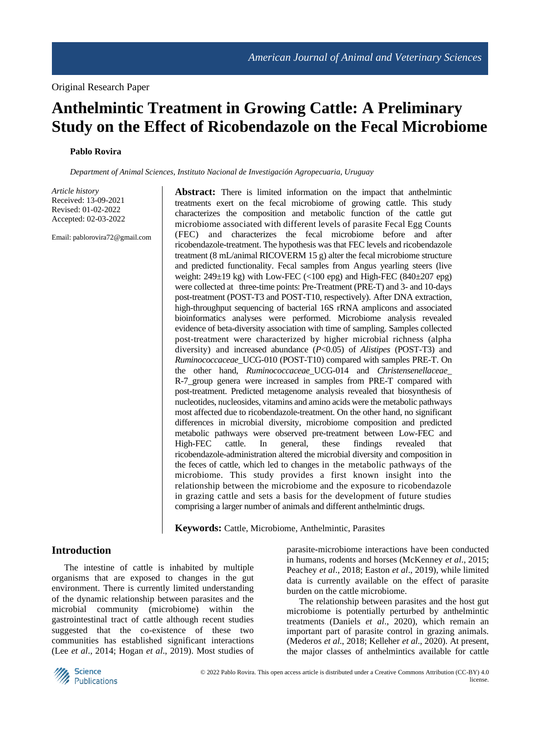# **Anthelmintic Treatment in Growing Cattle: A Preliminary Study on the Effect of Ricobendazole on the Fecal Microbiome**

#### **Pablo Rovira**

*Department of Animal Sciences, Instituto Nacional de Investigación Agropecuaria, Uruguay*

*Article history* Received: 13-09-2021 Revised: 01-02-2022 Accepted: 02-03-2022

Email: pablorovira72@gmail.com

**Abstract:** There is limited information on the impact that anthelmintic treatments exert on the fecal microbiome of growing cattle. This study characterizes the composition and metabolic function of the cattle gut microbiome associated with different levels of parasite Fecal Egg Counts (FEC) and characterizes the fecal microbiome before and after ricobendazole-treatment. The hypothesis was that FEC levels and ricobendazole treatment (8 mL/animal RICOVERM 15 g) alter the fecal microbiome structure and predicted functionality. Fecal samples from Angus yearling steers (live weight:  $249\pm19$  kg) with Low-FEC (<100 epg) and High-FEC (840 $\pm$ 207 epg) were collected at three-time points: Pre-Treatment (PRE-T) and 3- and 10-days post-treatment (POST-T3 and POST-T10, respectively). After DNA extraction, high-throughput sequencing of bacterial 16S rRNA amplicons and associated bioinformatics analyses were performed. Microbiome analysis revealed evidence of beta-diversity association with time of sampling. Samples collected post-treatment were characterized by higher microbial richness (alpha diversity) and increased abundance (*P*<0.05) of *Alistipes* (POST-T3) and *Ruminococcaceae*\_UCG-010 (POST-T10) compared with samples PRE-T. On the other hand, *Ruminococcaceae*\_UCG-014 and *Christensenellaceae*\_ R-7\_group genera were increased in samples from PRE-T compared with post-treatment. Predicted metagenome analysis revealed that biosynthesis of nucleotides, nucleosides, vitamins and amino acids were the metabolic pathways most affected due to ricobendazole-treatment. On the other hand, no significant differences in microbial diversity, microbiome composition and predicted metabolic pathways were observed pre-treatment between Low-FEC and High-FEC cattle. In general, these findings revealed that ricobendazole-administration altered the microbial diversity and composition in the feces of cattle, which led to changes in the metabolic pathways of the microbiome. This study provides a first known insight into the relationship between the microbiome and the exposure to ricobendazole in grazing cattle and sets a basis for the development of future studies comprising a larger number of animals and different anthelmintic drugs.

**Keywords:** Cattle, Microbiome, Anthelmintic, Parasites

#### **Introduction**

The intestine of cattle is inhabited by multiple organisms that are exposed to changes in the gut environment. There is currently limited understanding of the dynamic relationship between parasites and the microbial community (microbiome) within the gastrointestinal tract of cattle although recent studies suggested that the co-existence of these two communities has established significant interactions (Lee *et al*., 2014; Hogan *et al*., 2019). Most studies of parasite-microbiome interactions have been conducted in humans, rodents and horses (McKenney *et al*., 2015; Peachey *et al*., 2018; Easton *et al*., 2019), while limited data is currently available on the effect of parasite burden on the cattle microbiome.

The relationship between parasites and the host gut microbiome is potentially perturbed by anthelmintic treatments (Daniels *et al*., 2020), which remain an important part of parasite control in grazing animals. (Mederos *et al*., 2018; Kelleher *et al*., 2020). At present, the major classes of anthelmintics available for cattle

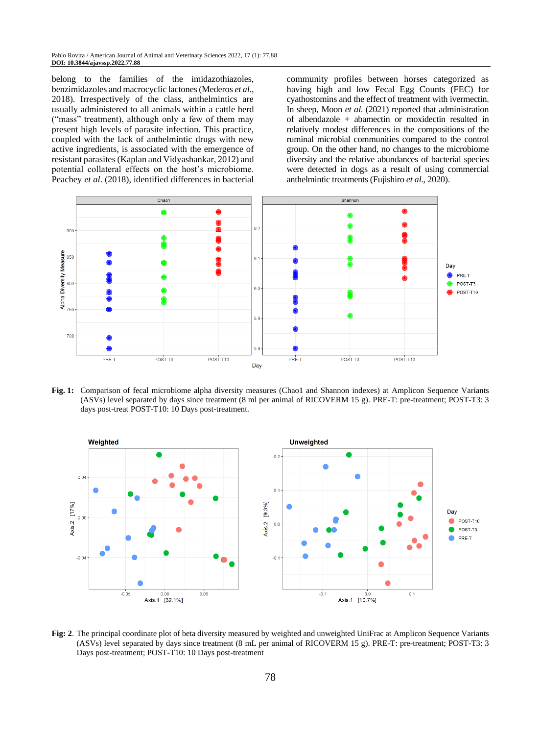belong to the families of the imidazothiazoles, benzimidazoles and macrocyclic lactones (Mederos *et al*., 2018). Irrespectively of the class, anthelmintics are usually administered to all animals within a cattle herd ("mass" treatment), although only a few of them may present high levels of parasite infection. This practice, coupled with the lack of anthelmintic drugs with new active ingredients, is associated with the emergence of resistant parasites (Kaplan and Vidyashankar, 2012) and potential collateral effects on the host's microbiome. Peachey *et al*. (2018), identified differences in bacterial community profiles between horses categorized as having high and low Fecal Egg Counts (FEC) for cyathostomins and the effect of treatment with ivermectin. In sheep, Moon *et al*. (2021) reported that administration of albendazole + abamectin or moxidectin resulted in relatively modest differences in the compositions of the ruminal microbial communities compared to the control group. On the other hand, no changes to the microbiome diversity and the relative abundances of bacterial species were detected in dogs as a result of using commercial anthelmintic treatments (Fujishiro *et al*., 2020).



**Fig. 1:** Comparison of fecal microbiome alpha diversity measures (Chao1 and Shannon indexes) at Amplicon Sequence Variants (ASVs) level separated by days since treatment (8 ml per animal of RICOVERM 15 g). PRE-T: pre-treatment; POST-T3: 3 days post-treat POST-T10: 10 Days post-treatment.



**Fig: 2**. The principal coordinate plot of beta diversity measured by weighted and unweighted UniFrac at Amplicon Sequence Variants (ASVs) level separated by days since treatment (8 mL per animal of RICOVERM 15 g). PRE-T: pre-treatment; POST-T3: 3 Days post-treatment; POST-T10: 10 Days post-treatment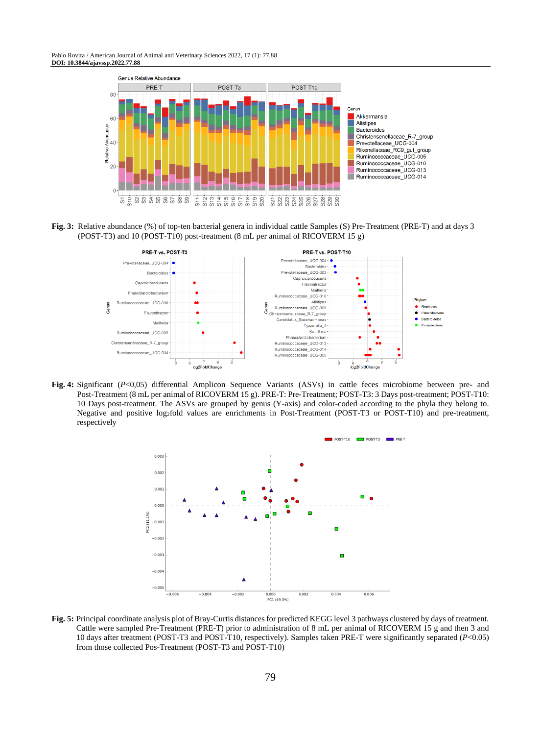Pablo Rovira / American Journal of Animal and Veterinary Sciences 2022, 17 (1): 77.88 **DOI: 10.3844/ajavssp.2022.77.88**



**Fig. 3:** Relative abundance (%) of top-ten bacterial genera in individual cattle Samples (S) Pre-Treatment (PRE-T) and at days 3 (POST-T3) and 10 (POST-T10) post-treatment (8 mL per animal of RICOVERM 15 g)



**Fig. 4:** Significant (*P*<0,05) differential Amplicon Sequence Variants (ASVs) in cattle feces microbiome between pre- and Post-Treatment (8 mL per animal of RICOVERM 15 g). PRE-T: Pre-Treatment; POST-T3: 3 Days post-treatment; POST-T10: 10 Days post-treatment. The ASVs are grouped by genus (Y-axis) and color-coded according to the phyla they belong to. Negative and positive log2fold values are enrichments in Post-Treatment (POST-T3 or POST-T10) and pre-treatment, respectively



**Fig. 5:** Principal coordinate analysis plot of Bray-Curtis distances for predicted KEGG level 3 pathways clustered by days of treatment. Cattle were sampled Pre-Treatment (PRE-T) prior to administration of 8 mL per animal of RICOVERM 15 g and then 3 and 10 days after treatment (POST-T3 and POST-T10, respectively). Samples taken PRE-T were significantly separated (*P*<0.05) from those collected Pos-Treatment (POST-T3 and POST-T10)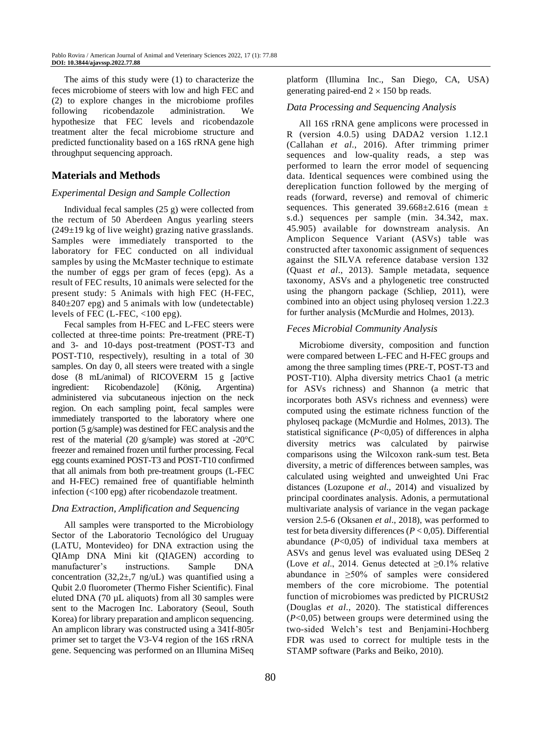The aims of this study were (1) to characterize the feces microbiome of steers with low and high FEC and (2) to explore changes in the microbiome profiles following ricobendazole administration. We hypothesize that FEC levels and ricobendazole treatment alter the fecal microbiome structure and predicted functionality based on a 16S rRNA gene high throughput sequencing approach.

## **Materials and Methods**

#### *Experimental Design and Sample Collection*

Individual fecal samples (25 g) were collected from the rectum of 50 Aberdeen Angus yearling steers  $(249±19$  kg of live weight) grazing native grasslands. Samples were immediately transported to the laboratory for FEC conducted on all individual samples by using the McMaster technique to estimate the number of eggs per gram of feces (epg). As a result of FEC results, 10 animals were selected for the present study: 5 Animals with high FEC (H-FEC,  $840\pm207$  epg) and 5 animals with low (undetectable) levels of FEC (L-FEC, <100 epg).

Fecal samples from H-FEC and L-FEC steers were collected at three-time points: Pre-treatment (PRE-T) and 3- and 10-days post-treatment (POST-T3 and POST-T10, respectively), resulting in a total of 30 samples. On day 0, all steers were treated with a single dose (8 mL/animal) of RICOVERM 15 g [active ingredient: Ricobendazole] (König, Argentina) administered via subcutaneous injection on the neck region. On each sampling point, fecal samples were immediately transported to the laboratory where one portion (5 g/sample) was destined for FEC analysis and the rest of the material (20 g/sample) was stored at -20°C freezer and remained frozen until further processing. Fecal egg counts examined POST-T3 and POST-T10 confirmed that all animals from both pre-treatment groups (L-FEC and H-FEC) remained free of quantifiable helminth infection (<100 epg) after ricobendazole treatment.

#### *Dna Extraction, Amplification and Sequencing*

All samples were transported to the Microbiology Sector of the Laboratorio Tecnológico del Uruguay (LATU, Montevideo) for DNA extraction using the QIAmp DNA Mini kit (QIAGEN) according to manufacturer's instructions. Sample DNA concentration (32,2 $\pm$ ,7 ng/uL) was quantified using a Qubit 2.0 fluorometer (Thermo Fisher Scientific). Final eluted DNA (70 µL aliquots) from all 30 samples were sent to the Macrogen Inc. Laboratory (Seoul, South Korea) for library preparation and amplicon sequencing. An amplicon library was constructed using a 341f-805r primer set to target the V3-V4 region of the 16S rRNA gene. Sequencing was performed on an Illumina MiSeq

platform (Illumina Inc., San Diego, CA, USA) generating paired-end  $2 \times 150$  bp reads.

#### *Data Processing and Sequencing Analysis*

All 16S rRNA gene amplicons were processed in R (version 4.0.5) using DADA2 version 1.12.1 (Callahan *et al*., 2016). After trimming primer sequences and low-quality reads, a step was performed to learn the error model of sequencing data. Identical sequences were combined using the dereplication function followed by the merging of reads (forward, reverse) and removal of chimeric sequences. This generated  $39.668 \pm 2.616$  (mean  $\pm$ s.d.) sequences per sample (min. 34.342, max. 45.905) available for downstream analysis. An Amplicon Sequence Variant (ASVs) table was constructed after taxonomic assignment of sequences against the SILVA reference database version 132 (Quast *et al*., 2013). Sample metadata, sequence taxonomy, ASVs and a phylogenetic tree constructed using the phangorn package [\(Schliep, 2011\)](https://www.frontiersin.org/articles/10.3389/fmicb.2020.01981/full#B86), were combined into an object using phyloseq version 1.22.3 for further analysis [\(McMurdie and Holmes, 2013\)](https://www.frontiersin.org/articles/10.3389/fmicb.2020.01981/full#B66).

#### *Feces Microbial Community Analysis*

Microbiome diversity, composition and function were compared between L-FEC and H-FEC groups and among the three sampling times (PRE-T, POST-T3 and POST-T10). Alpha diversity metrics Chao1 (a metric for ASVs richness) and Shannon (a metric that incorporates both ASVs richness and evenness) were computed using the estimate richness function of the phyloseq package [\(McMurdie and Holmes, 2013\)](https://www.frontiersin.org/articles/10.3389/fmicb.2020.01981/full#B66). The statistical significance (*P*<0,05) of differences in alpha diversity metrics was calculated by pairwise comparisons using the Wilcoxon rank-sum test. Beta diversity, a metric of differences between samples, was calculated using weighted and unweighted Uni Frac distances (Lozupone *et al*., 2014) and visualized by principal coordinates analysis. Adonis, a permutational multivariate analysis of variance in the vegan package version 2.5-6 (Oksanen *et al*., 2018), was performed to test for beta diversity differences (*P* < 0,05). Differential abundance (*P*<0,05) of individual taxa members at ASVs and genus level was evaluated using DESeq 2 (Love *et al*., 2014. Genus detected at ≥0.1% relative abundance in ≥50% of samples were considered members of the core microbiome. The potential function of microbiomes was predicted by PICRUSt2 (Douglas *et al*., 2020). The statistical differences (*P*<0,05) between groups were determined using the two-sided Welch's test and Benjamini-Hochberg FDR was used to correct for multiple tests in the STAMP software (Parks and Beiko, 2010).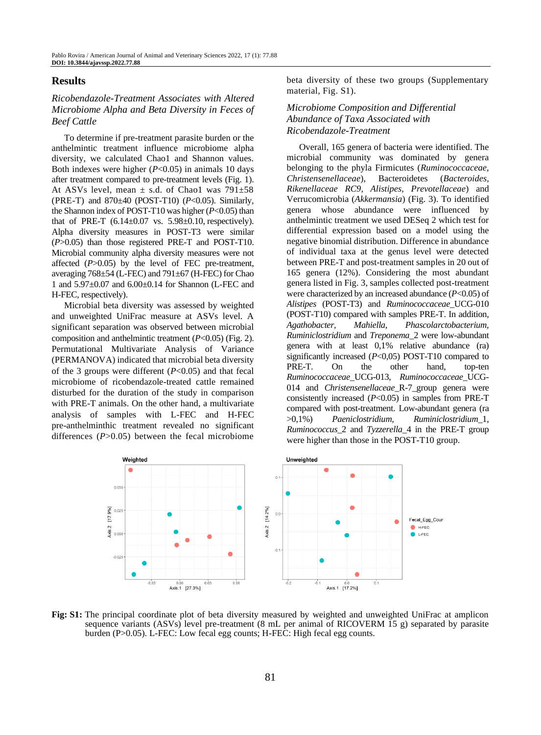#### **Results**

#### *Ricobendazole-Treatment Associates with Altered Microbiome Alpha and Beta Diversity in Feces of Beef Cattle*

To determine if pre-treatment parasite burden or the anthelmintic treatment influence microbiome alpha diversity, we calculated Chao1 and Shannon values. Both indexes were higher (*P*<0.05) in animals 10 days after treatment compared to pre-treatment levels (Fig. 1). At ASVs level, mean  $\pm$  s.d. of Chao1 was 791 $\pm$ 58 (PRE-T) and 870±40 (POST-T10) (*P*<0.05). Similarly, the Shannon index of POST-T10 was higher (*P*<0.05) than that of PRE-T  $(6.14 \pm 0.07 \text{ vs. } 5.98 \pm 0.10, \text{ respectively}).$ Alpha diversity measures in POST-T3 were similar (*P*>0.05) than those registered PRE-T and POST-T10. Microbial community alpha diversity measures were not affected (*P*>0.05) by the level of FEC pre-treatment, averaging  $768\pm54$  (L-FEC) and  $791\pm67$  (H-FEC) for Chao 1 and 5.97±0.07 and 6.00±0.14 for Shannon (L-FEC and H-FEC, respectively).

Microbial beta diversity was assessed by weighted and unweighted UniFrac measure at ASVs level. A significant separation was observed between microbial composition and anthelmintic treatment (*P*<0.05) (Fig. 2). Permutational Multivariate Analysis of Variance (PERMANOVA) indicated that microbial beta diversity of the 3 groups were different (*P*<0.05) and that fecal microbiome of ricobendazole-treated cattle remained disturbed for the duration of the study in comparison with PRE-T animals. On the other hand, a multivariate analysis of samples with L-FEC and H-FEC pre-anthelminthic treatment revealed no significant differences (*P*>0.05) between the fecal microbiome

beta diversity of these two groups (Supplementary material, Fig. S1).

#### *Microbiome Composition and Differential Abundance of Taxa Associated with Ricobendazole-Treatment*

Overall, 165 genera of bacteria were identified. The microbial community was dominated by genera belonging to the phyla Firmicutes (*Ruminococcaceae, Christensenellaceae*), Bacteroidetes (*Bacteroides, Rikenellaceae RC9, Alistipes, Prevotellaceae*) and Verrucomicrobia (*Akkermansia*) (Fig. 3). To identified genera whose abundance were influenced by anthelmintic treatment we used DESeq 2 which test for differential expression based on a model using the negative binomial distribution. Difference in abundance of individual taxa at the genus level were detected between PRE-T and post-treatment samples in 20 out of 165 genera (12%). Considering the most abundant genera listed in Fig. 3, samples collected post-treatment were characterized by an increased abundance (*P*<0.05) of *Alistipes* (POST-T3) and *Ruminococcaceae*\_UCG-010 (POST-T10) compared with samples PRE-T. In addition, *Agathobacter, Mahiella, Phascolarctobacterium, Ruminiclostridium* and *Treponema*\_2 were low-abundant genera with at least 0,1% relative abundance (ra) significantly increased (*P*<0,05) POST-T10 compared to PRE-T. On the other hand, top-ten *Ruminococcaceae*\_UCG-013, *Ruminococcaceae*\_UCG-014 and *Christensenellaceae*\_R-7\_group genera were consistently increased (*P*<0.05) in samples from PRE-T compared with post-treatment. Low-abundant genera (ra >0,1%) *Paeniclostridium, Ruminiclostridium*\_1, *Ruminococcus*\_2 and *Tyzzerella*\_4 in the PRE-T group were higher than those in the POST-T10 group.



**Fig: S1:** The principal coordinate plot of beta diversity measured by weighted and unweighted UniFrac at amplicon sequence variants (ASVs) level pre-treatment (8 mL per animal of RICOVERM 15 g) separated by parasite burden (P>0.05). L-FEC: Low fecal egg counts; H-FEC: High fecal egg counts.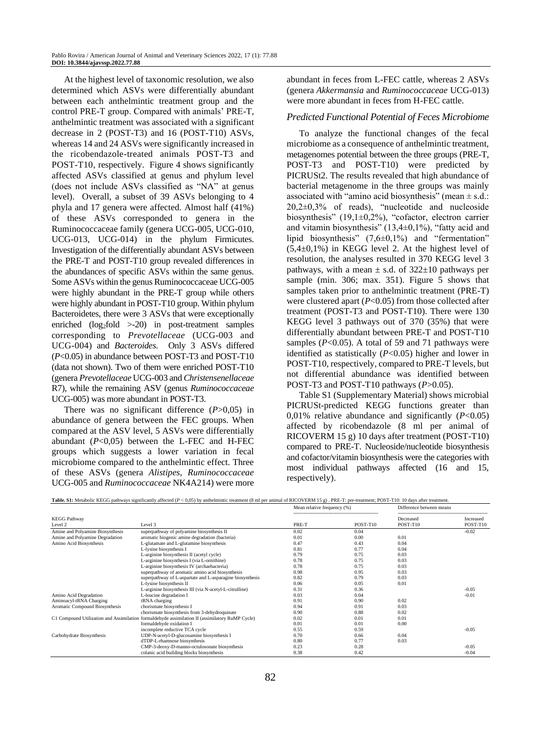At the highest level of taxonomic resolution, we also determined which ASVs were differentially abundant between each anthelmintic treatment group and the control PRE-T group. Compared with animals' PRE-T, anthelmintic treatment was associated with a significant decrease in 2 (POST-T3) and 16 (POST-T10) ASVs, whereas 14 and 24 ASVs were significantly increased in the ricobendazole-treated animals POST-T3 and POST-T10, respectively. Figure 4 shows significantly affected ASVs classified at genus and phylum level (does not include ASVs classified as "NA" at genus level). Overall, a subset of 39 ASVs belonging to 4 phyla and 17 genera were affected. Almost half (41%) of these ASVs corresponded to genera in the Ruminococcaceae family (genera UCG-005, UCG-010, UCG-013, UCG-014) in the phylum Firmicutes. Investigation of the differentially abundant ASVs between the PRE-T and POST-T10 group revealed differences in the abundances of specific ASVs within the same genus. Some ASVs within the genus Ruminococcaceae UCG-005 were highly abundant in the PRE-T group while others were highly abundant in POST-T10 group. Within phylum Bacteroidetes, there were 3 ASVs that were exceptionally enriched  $(log_2fold$  >-20) in post-treatment samples corresponding to *Prevotellaceae* (UCG-003 and UCG-004) and *Bacteroides*. Only 3 ASVs differed (*P*<0.05) in abundance between POST-T3 and POST-T10 (data not shown). Two of them were enriched POST-T10 (genera *Prevotellaceae* UCG-003 and *Christensenellaceae* R7), while the remaining ASV (genus *Ruminococcaceae* UCG-005) was more abundant in POST-T3.

There was no significant difference (*P*>0,05) in abundance of genera between the FEC groups. When compared at the ASV level, 5 ASVs were differentially abundant (*P*<0,05) between the L-FEC and H-FEC groups which suggests a lower variation in fecal microbiome compared to the anthelmintic effect. Three of these ASVs (genera *Alistipes, Ruminococcaceae* UCG-005 and *Ruminococcaceae* NK4A214) were more abundant in feces from L-FEC cattle, whereas 2 ASVs (genera *Akkermansia* and *Ruminococcaceae* UCG-013) were more abundant in feces from H-FEC cattle.

#### *Predicted Functional Potential of Feces Microbiome*

To analyze the functional changes of the fecal microbiome as a consequence of anthelmintic treatment, metagenomes potential between the three groups (PRE-T, POST-T3 and POST-T10) were predicted by PICRUSt2. The results revealed that high abundance of bacterial metagenome in the three groups was mainly associated with "amino acid biosynthesis" (mean  $\pm$  s.d.: 20,2±0,3% of reads), "nucleotide and nucleoside biosynthesis" (19,1±0,2%), "cofactor, electron carrier and vitamin biosynthesis"  $(13,4\pm0,1\%)$ , "fatty acid and lipid biosynthesis" (7,6±0,1%) and "fermentation"  $(5,4\pm0,1\%)$  in KEGG level 2. At the highest level of resolution, the analyses resulted in 370 KEGG level 3 pathways, with a mean  $\pm$  s.d. of 322 $\pm$ 10 pathways per sample (min. 306; max. 351). Figure 5 shows that samples taken prior to anthelmintic treatment (PRE-T) were clustered apart (*P*<0.05) from those collected after treatment (POST-T3 and POST-T10). There were 130 KEGG level 3 pathways out of 370 (35%) that were differentially abundant between PRE-T and POST-T10 samples ( $P<0.05$ ). A total of 59 and 71 pathways were identified as statistically (*P*<0.05) higher and lower in POST-T10, respectively, compared to PRE-T levels, but not differential abundance was identified between POST-T3 and POST-T10 pathways (*P*>0.05).

Table S1 (Supplementary Material) shows microbial PICRUSt-predicted KEGG functions greater than 0,01% relative abundance and significantly (*P*<0.05) affected by ricobendazole (8 ml per animal of RICOVERM 15 g) 10 days after treatment (POST-T10) compared to PRE-T. Nucleoside/nucleotide biosynthesis and cofactor/vitamin biosynthesis were the categories with most individual pathways affected (16 and 15, respectively).

|                                  |                                                                                                 | Mean relative frequency (%) |          | Difference between means |                       |
|----------------------------------|-------------------------------------------------------------------------------------------------|-----------------------------|----------|--------------------------|-----------------------|
| <b>KEGG Pathway</b><br>Level 2   | Level 3                                                                                         | PRE-T                       | POST-T10 | Decreased<br>POST-T10    | Increased<br>POST-T10 |
| Amine and Polyamine Biosynthesis | superpathway of polyamine biosynthesis II                                                       | 0.02                        | 0.04     |                          | $-0.02$               |
| Amine and Polyamine Degradation  | aromatic biogenic amine degradation (bacteria)                                                  | 0.01                        | 0.00     | 0.01                     |                       |
| Amino Acid Biosynthesis          | L-glutamate and L-glutamine biosynthesis                                                        | 0.47                        | 0.43     | 0.04                     |                       |
|                                  | L-lysine biosynthesis I                                                                         | 0.81                        | 0.77     | 0.04                     |                       |
|                                  | L-arginine biosynthesis II (acetyl cycle)                                                       | 0.79                        | 0.75     | 0.03                     |                       |
|                                  | L-arginine biosynthesis I (via L-ornithine)                                                     | 0.78                        | 0.75     | 0.03                     |                       |
|                                  | L-arginine biosynthesis IV (archaebacteria)                                                     | 0.78                        | 0.75     | 0.03                     |                       |
|                                  | superpathway of aromatic amino acid biosynthesis                                                | 0.98                        | 0.95     | 0.03                     |                       |
|                                  | superpathway of L-aspartate and L-asparagine biosynthesis                                       | 0.82                        | 0.79     | 0.03                     |                       |
|                                  | L-lysine biosynthesis II                                                                        | 0.06                        | 0.05     | 0.01                     |                       |
|                                  | L-arginine biosynthesis III (via N-acetyl-L-citrulline)                                         | 0.31                        | 0.36     |                          | $-0.05$               |
| Amino Acid Degradation           | L-leucine degradation I                                                                         | 0.03                        | 0.04     |                          | $-0.01$               |
| Aminoacyl-tRNA Charging          | tRNA charging                                                                                   | 0.91                        | 0.90     | 0.02                     |                       |
| Aromatic Compound Biosynthesis   | chorismate biosynthesis I                                                                       | 0.94                        | 0.91     | 0.03                     |                       |
|                                  | chorismate biosynthesis from 3-dehydroquinate                                                   | 0.90                        | 0.88     | 0.02                     |                       |
|                                  | C1 Compound Utilization and Assimilation formaldehyde assimilation II (assimilatory RuMP Cycle) | 0.02                        | 0.01     | 0.01                     |                       |
|                                  | formaldehyde oxidation I                                                                        | 0.01                        | 0.01     | 0.00                     |                       |
|                                  | incomplete reductive TCA cycle                                                                  | 0.55                        | 0.59     |                          | $-0.05$               |
| Carbohydrate Biosynthesis        | UDP-N-acetyl-D-glucosamine biosynthesis I                                                       | 0.70                        | 0.66     | 0.04                     |                       |
|                                  | dTDP-L-rhamnose biosynthesis                                                                    | 0.80                        | 0.77     | 0.03                     |                       |
|                                  | CMP-3-deoxy-D-manno-octulosonate biosynthesis                                                   | 0.23                        | 0.28     |                          | $-0.05$               |
|                                  | colanic acid building blocks biosynthesis                                                       | 0.38                        | 0.42     |                          | $-0.04$               |

Table. S1: Metabolic KEGG pathways significantly affected (*P <* 0,05) by anthelmintic treatment (8 ml per animal of RICOVERM 15 g). PRE-T: pre-treatment; POST-T10: 10 days after treatment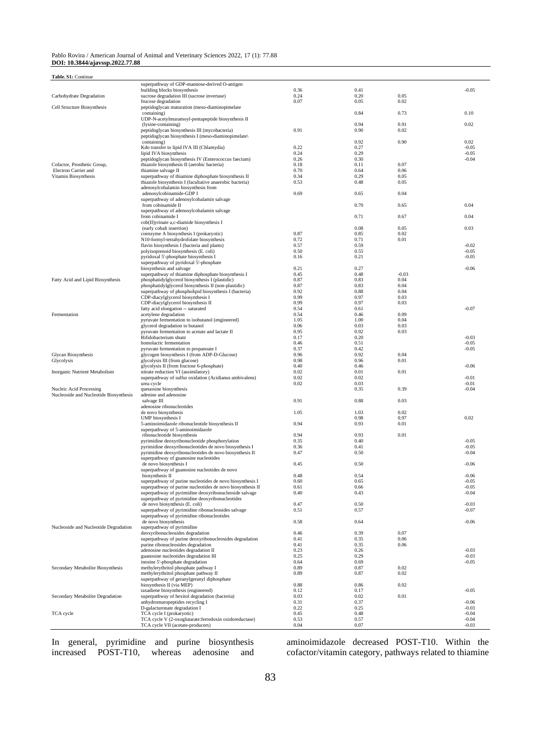#### Pablo Rovira / American Journal of Animal and Veterinary Sciences 2022, 17 (1): 77.88 **DOI: 10.3844/ajavssp.2022.77.88**

| Table. S1: Continue                    |                                                                                                           |              |              |              |                    |
|----------------------------------------|-----------------------------------------------------------------------------------------------------------|--------------|--------------|--------------|--------------------|
|                                        | superpathway of GDP-mannose-derived O-antigen                                                             |              |              |              |                    |
|                                        | building blocks biosynthesis                                                                              | 0.36         | 0.41         |              | $-0.05$            |
| Carbohydrate Degradation               | sucrose degradation III (sucrose invertase)                                                               | 0.24         | 0.20         | 0.05         |                    |
| Cell Structure Biosynthesis            | frucose degradation<br>peptidoglycan maturation (meso-diaminopimelate                                     | 0.07         | 0.05         | 0.02         |                    |
|                                        | containing)                                                                                               |              | 0.84         | 0.73         | 0.10               |
|                                        | UDP-N-acetylmuramoyl-pentapeptide biosynthesis II                                                         |              |              |              |                    |
|                                        | (lysine-containing)<br>peptidoglycan biosynthesis III (mycobacteria)                                      | 0.91         | 0.94<br>0.90 | 0.91<br>0.02 | 0.02               |
|                                        | peptidoglycan biosynthesis I (meso-diaminopimelate)                                                       |              |              |              |                    |
|                                        | containing)                                                                                               |              | 0.92         | 0.90         | 0.02               |
|                                        | Kdo transfer to lipid IVA III (Chlamydia)                                                                 | 0.22         | 0.27         |              | $-0.05$            |
|                                        | lipid IVA biosynthesis                                                                                    | 0.24         | 0.29         |              | $-0.05$            |
| Cofactor, Prosthetic Group,            | peptidoglycan biosynthesis IV (Enterococcus faecium)<br>thiazole biosynthesis II (aerobic bacteria)       | 0.26<br>0.18 | 0.30<br>0.11 | 0.07         | $-0.04$            |
| Electron Carrier and                   | thiamine salvage II                                                                                       | 0.70         | 0.64         | 0.06         |                    |
| Vitamin Biosynthesis                   | superpathway of thiamine diphosphate biosynthesis II                                                      | 0.34         | 0.29         | 0.05         |                    |
|                                        | thiazole biosynthesis I (facultative anaerobic bacteria)                                                  | 0.53         | 0.48         | 0.05         |                    |
|                                        | adenosylcobalamin biosynthesis from<br>adenosylcobinamide-GDP I                                           | 0.69         | 0.65         | 0.04         |                    |
|                                        | superpathway of adenosylcobalamin salvage                                                                 |              |              |              |                    |
|                                        | from cobinamide II                                                                                        |              | 0.70         | 0.65         | 0.04               |
|                                        | superpathway of adenosylcobalamin salvage                                                                 |              |              |              |                    |
|                                        | from cobinamide I<br>cob(II)yrinate a,c-diamide biosynthesis I                                            |              | 0.71         | 0.67         | 0.04               |
|                                        | (early cobalt insertion)                                                                                  |              | 0.08         | 0.05         | 0.03               |
|                                        | coenzyme A biosynthesis I (prokaryotic)                                                                   | 0.87         | 0.85         | 0.02         |                    |
|                                        | N10-formyl-tetrahydrofolate biosynthesis                                                                  | 0.72         | 0.71         | 0.01         |                    |
|                                        | flavin biosynthesis I (bacteria and plants)                                                               | 0.57         | 0.59         |              | $-0.02$            |
|                                        | polyisoprenoid biosynthesis (E. coli)<br>pyridoxal 5'-phosphate biosynthesis I                            | 0.50<br>0.16 | 0.55<br>0.21 |              | $-0.05$<br>$-0.05$ |
|                                        | superpathway of pyridoxal 5'-phosphate                                                                    |              |              |              |                    |
|                                        | biosynthesis and salvage                                                                                  | 0.21         | 0.27         |              | $-0.06$            |
|                                        | superpathway of thiamine diphosphate biosynthesis I                                                       | 0.45         | 0.48         | $-0.03$      |                    |
| Fatty Acid and Lipid Biosynthesis      | phosphatidylglycerol biosynthesis I (plastidic)<br>phosphatidylglycerol biosynthesis II (non-plastidic)   | 0.87<br>0.87 | 0.83<br>0.83 | 0.04<br>0.04 |                    |
|                                        | superpathway of phospholipid biosynthesis I (bacteria)                                                    | 0.92         | 0.88         | 0.04         |                    |
|                                        | CDP-diacylglycerol biosynthesis I                                                                         | 0.99         | 0.97         | 0.03         |                    |
|                                        | CDP-diacylglycerol biosynthesis II                                                                        | 0.99         | 0.97         | 0.03         |                    |
|                                        | fatty acid elongation -- saturated                                                                        | 0.54<br>0.54 | 0.61         | 0.09         | $-0.07$            |
| Fermentation                           | acetylene degradation<br>pyruvate fermentation to isobutanol (engineered)                                 | 1.05         | 0.46<br>1.00 | 0.04         |                    |
|                                        | glycerol degradation to butanol                                                                           | 0.06         | 0.03         | 0.03         |                    |
|                                        | pyruvate fermentation to acetate and lactate II                                                           | 0.95         | 0.92         | 0.03         |                    |
|                                        | Bifidobacterium shunt                                                                                     | 0.17         | 0.20         |              | $-0.03$            |
|                                        | homolactic fermentation<br>pyruvate fermentation to propanoate I                                          | 0.46<br>0.37 | 0.51<br>0.42 |              | $-0.05$<br>$-0.05$ |
| Glycan Biosynthesis                    | glycogen biosynthesis I (from ADP-D-Glucose)                                                              | 0.96         | 0.92         | 0.04         |                    |
| Glycolysis                             | glycolysis III (from glucose)                                                                             | 0.98         | 0.96         | 0.01         |                    |
|                                        | glycolysis II (from fructose 6-phosphate)                                                                 | 0.40         | 0.46         |              | $-0.06$            |
| Inorganic Nutrient Metabolism          | nitrate reduction VI (assimilatory)<br>superpathway of sulfur oxidation (Acidianus ambivalens)            | 0.02<br>0.02 | 0.01<br>0.02 | 0.01         | $-0.01$            |
|                                        | urea cycle                                                                                                | 0.02         | 0.03         |              | $-0.01$            |
| Nucleic Acid Processing                | queuosine biosynthesis                                                                                    |              | 0.35         | 0.39         | $-0.04$            |
| Nucleoside and Nucleotide Biosynthesis | adenine and adenosine                                                                                     |              |              |              |                    |
|                                        | salvage III<br>adenosine ribonucleotides                                                                  | 0.91         | 0.88         | 0.03         |                    |
|                                        | de novo biosynthesis                                                                                      | 1.05         | 1.03         | 0.02         |                    |
|                                        | UMP biosynthesis I                                                                                        |              | 0.98         | 0.97         | 0.02               |
|                                        | 5-aminoimidazole ribonucleotide biosynthesis II                                                           | 0.94         | 0.93         | 0.01         |                    |
|                                        | superpathway of 5-aminoimidazole<br>ribonucleotide biosynthesis                                           | 0.94         | 0.93         | 0.01         |                    |
|                                        | pyrimidine deoxyribonucleotide phosphorylation                                                            | 0.35         | 0.40         |              | $-0.05$            |
|                                        | pyrimidine deoxyribonucleotides de novo biosynthesis I                                                    | 0.36         | 0.41         |              | $-0.05$            |
|                                        | pyrimidine deoxyribonucleotides de novo biosynthesis II                                                   | 0.47         | 0.50         |              | $-0.04$            |
|                                        | superpathway of guanosine nucleotides                                                                     |              |              |              | $-0.06$            |
|                                        | de novo biosynthesis I<br>superpathway of guanosine nucleotides de novo                                   | 0.45         | 0.50         |              |                    |
|                                        | biosynthesis II                                                                                           | 0.48         | 0.54         |              | $-0.06$            |
|                                        | superpathway of purine nucleotides de novo biosynthesis I                                                 | 0.60         | 0.65         |              | $-0.05$            |
|                                        | superpathway of purine nucleotides de novo biosynthesis II                                                | 0.61         | 0.66         |              | $-0.05$            |
|                                        | superpathway of pyrimidine deoxyribonucleoside salvage<br>superpathway of pyrimidine deoxyribonucleotides | 0.40         | 0.43         |              | $-0.04$            |
|                                        | de novo biosynthesis (E. coli)                                                                            | 0.47         | 0.50         |              | $-0.03$            |
|                                        | superpathway of pyrimidine ribonucleosides salvage                                                        | 0.51         | 0.57         |              | $-0.07$            |
|                                        | superpathway of pyrimidine ribonucleotides                                                                |              |              |              |                    |
| Nucleoside and Nucleotide Degradation  | de novo biosynthesis<br>superpathway of pyrimidine                                                        | 0.58         | 0.64         |              | $-0.06$            |
|                                        | deoxyribonucleosides degradation                                                                          | 0.46         | 0.39         | 0.07         |                    |
|                                        | superpathway of purine deoxyribonucleosides degradation                                                   | 0.41         | 0.35         | 0.06         |                    |
|                                        | purine ribonucleosides degradation                                                                        | 0.41         | 0.35         | 0.06         |                    |
|                                        | adenosine nucleotides degradation II                                                                      | 0.23         | 0.26         |              | $-0.03$            |
|                                        | guanosine nucleotides degradation III<br>inosine 5'-phosphate degradation                                 | 0.25<br>0.64 | 0.29<br>0.69 |              | $-0.03$<br>$-0.05$ |
| Secondary Metabolite Biosynthesis      | methylerythritol phosphate pathway I                                                                      | 0.89         | 0.87         | 0.02         |                    |
|                                        | methylerythritol phosphate pathway II                                                                     | 0.89         | 0.87         | 0.02         |                    |
|                                        | superpathway of geranylgeranyl diphosphate                                                                |              |              |              |                    |
|                                        | biosynthesis II (via MEP)<br>taxadiene biosynthesis (engineered)                                          | 0.88<br>0.12 | 0.86<br>0.17 | 0.02         | $-0.05$            |
| Secondary Metabolite Degradation       | superpathway of hexitol degradation (bacteria)                                                            | 0.03         | 0.02         | 0.01         |                    |
|                                        | anhydromuropeptides recycling I                                                                           | 0.31         | 0.37         |              | $-0.06$            |

In general, pyrimidine and purine biosynthesis increased POST-T10, whereas adenosine and aminoimidazole decreased POST-T10. Within the cofactor/vitamin category, pathways related to thiamine

TCA cycle TCA cycle I (prokaryotic) 0.45 0.48 0.48 -0.04<br>TCA cycle V (2-oxoglutarate:ferredoxin oxidoreductase) 0.53 0.57 0.57 0.57 -0.04

ontinum on increasing and the control of the control of the control of the control of the control of the control of the control of the control of the control of the control of the control of the control of the control of

TCA cycle VII (acetate-producers) 0.04 0.07 -0.03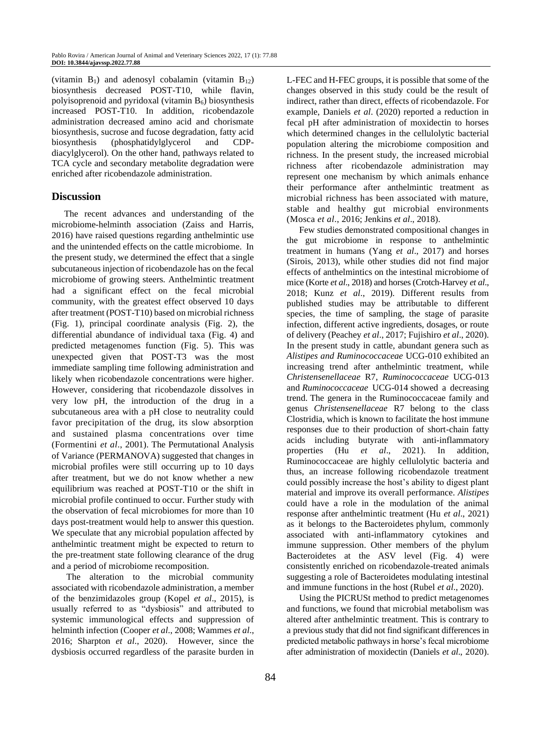(vitamin  $B_1$ ) and adenosyl cobalamin (vitamin  $B_{12}$ ) biosynthesis decreased POST-T10, while flavin, polyisoprenoid and pyridoxal (vitamin  $B_6$ ) biosynthesis increased POST-T10. In addition, ricobendazole administration decreased amino acid and chorismate biosynthesis, sucrose and fucose degradation, fatty acid biosynthesis (phosphatidylglycerol and CDPdiacylglycerol). On the other hand, pathways related to TCA cycle and secondary metabolite degradation were enriched after ricobendazole administration.

### **Discussion**

The recent advances and understanding of the microbiome-helminth association (Zaiss and Harris, 2016) have raised questions regarding anthelmintic use and the unintended effects on the cattle microbiome. In the present study, we determined the effect that a single subcutaneous injection of ricobendazole has on the fecal microbiome of growing steers. Anthelmintic treatment had a significant effect on the fecal microbial community, with the greatest effect observed 10 days after treatment (POST-T10) based on microbial richness (Fig. 1), principal coordinate analysis (Fig. 2), the differential abundance of individual taxa (Fig. 4) and predicted metagenomes function (Fig. 5). This was unexpected given that POST-T3 was the most immediate sampling time following administration and likely when ricobendazole concentrations were higher. However, considering that ricobendazole dissolves in very low pH, the introduction of the drug in a subcutaneous area with a pH close to neutrality could favor precipitation of the drug, its slow absorption and sustained plasma concentrations over time (Formentini *et al*., 2001). The Permutational Analysis of Variance (PERMANOVA) suggested that changes in microbial profiles were still occurring up to 10 days after treatment, but we do not know whether a new equilibrium was reached at POST-T10 or the shift in microbial profile continued to occur. Further study with the observation of fecal microbiomes for more than 10 days post-treatment would help to answer this question. We speculate that any microbial population affected by anthelmintic treatment might be expected to return to the pre-treatment state following clearance of the drug and a period of microbiome recomposition.

The alteration to the microbial community associated with ricobendazole administration, a member of the benzimidazoles group (Kopel *et al*., 2015), is usually referred to as "dysbiosis" and attributed to systemic immunological effects and suppression of helminth infection (Cooper *et al*., 2008; Wammes *et al*., 2016; Sharpton *et al*., 2020). However, since the dysbiosis occurred regardless of the parasite burden in

L-FEC and H-FEC groups, it is possible that some of the changes observed in this study could be the result of indirect, rather than direct, effects of ricobendazole. For example, Daniels *et al*. (2020) reported a reduction in fecal pH after administration of moxidectin to horses which determined changes in the cellulolytic bacterial population altering the microbiome composition and richness. In the present study, the increased microbial richness after ricobendazole administration may represent one mechanism by which animals enhance their performance after anthelmintic treatment as microbial richness has been associated with mature, stable and healthy gut microbial environments (Mosca *et al*., 2016; Jenkins *et al*., 2018).

Few studies demonstrated compositional changes in the gut microbiome in response to anthelmintic treatment in humans (Yang *et al*., 2017) and horses (Sirois, 2013), while other studies did not find major effects of anthelmintics on the intestinal microbiome of mice (Korte *et al*., 2018) and horses (Crotch-Harvey *et al*., 2018; Kunz *et al*., 2019). Different results from published studies may be attributable to different species, the time of sampling, the stage of parasite infection, different active ingredients, dosages, or route of delivery (Peachey *et al*., 2017; Fujishiro *et al*., 2020). In the present study in cattle, abundant genera such as *Alistipes and Ruminococcaceae* UCG-010 exhibited an increasing trend after anthelmintic treatment, while *Christensenellaceae* R7, *Ruminococcaceae* UCG-013 and *Ruminococcaceae* UCG-014 showed a decreasing trend. The genera in the Ruminococcaceae family and genus *Christensenellaceae* R7 belong to the class Clostridia, which is known to facilitate the host immune responses due to their production of short-chain fatty acids including butyrate with anti-inflammatory properties (Hu *et al*., 2021). In addition, Ruminococcaceae are highly cellulolytic bacteria and thus, an increase following ricobendazole treatment could possibly increase the host's ability to digest plant material and improve its overall performance. *Alistipes*  could have a role in the modulation of the animal response after anthelmintic treatment (Hu *et al*., 2021) as it belongs to the Bacteroidetes phylum, commonly associated with anti-inflammatory cytokines and immune suppression. Other members of the phylum Bacteroidetes at the ASV level (Fig. 4) were consistently enriched on ricobendazole-treated animals suggesting a role of Bacteroidetes modulating intestinal and immune functions in the host (Rubel *et al*., 2020).

Using the PICRUSt method to predict metagenomes and functions, we found that microbial metabolism was altered after anthelmintic treatment. This is contrary to a previous study that did not find significant differences in predicted metabolic pathways in horse's fecal microbiome after administration of moxidectin (Daniels *et al*., 2020).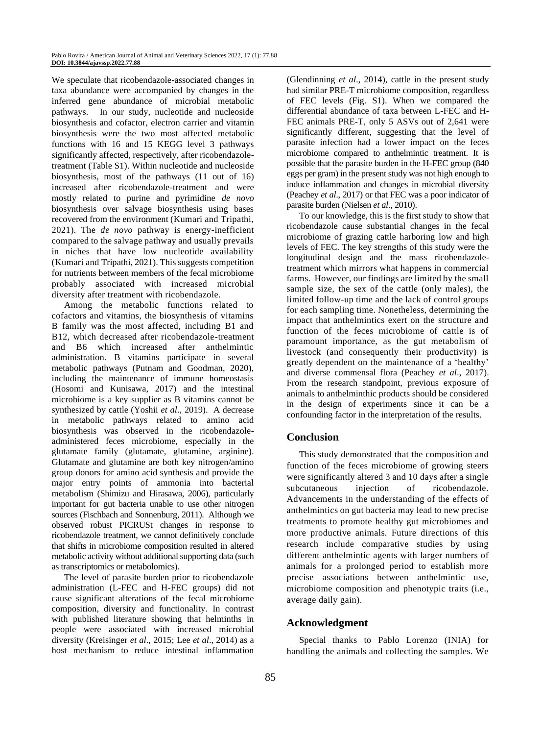We speculate that ricobendazole-associated changes in taxa abundance were accompanied by changes in the inferred gene abundance of microbial metabolic pathways. In our study, nucleotide and nucleoside biosynthesis and cofactor, electron carrier and vitamin biosynthesis were the two most affected metabolic functions with 16 and 15 KEGG level 3 pathways significantly affected, respectively, after ricobendazoletreatment (Table S1). Within nucleotide and nucleoside biosynthesis, most of the pathways (11 out of 16) increased after ricobendazole-treatment and were mostly related to purine and pyrimidine *de novo* biosynthesis over salvage biosynthesis using bases recovered from the environment (Kumari and Tripathi, 2021). The *de novo* pathway is energy-inefficient compared to the salvage pathway and usually prevails in niches that have low nucleotide availability (Kumari and Tripathi, 2021). This suggests competition for nutrients between members of the fecal microbiome probably associated with increased microbial diversity after treatment with ricobendazole.

Among the metabolic functions related to cofactors and vitamins, the biosynthesis of vitamins B family was the most affected, including B1 and B12, which decreased after ricobendazole-treatment and B6 which increased after anthelmintic administration. B vitamins participate in several metabolic pathways (Putnam and Goodman, 2020), including the maintenance of immune homeostasis (Hosomi and Kunisawa, 2017) and the intestinal microbiome is a key supplier as B vitamins cannot be synthesized by cattle (Yoshii *et al*., 2019). A decrease in metabolic pathways related to amino acid biosynthesis was observed in the ricobendazoleadministered feces microbiome, especially in the glutamate family (glutamate, glutamine, arginine). Glutamate and glutamine are both key nitrogen/amino group donors for amino acid synthesis and provide the major entry points of ammonia into bacterial metabolism (Shimizu and Hirasawa, 2006), particularly important for gut bacteria unable to use other nitrogen sources (Fischbach and Sonnenburg, 2011). Although we observed robust PICRUSt changes in response to ricobendazole treatment, we cannot definitively conclude that shifts in microbiome composition resulted in altered metabolic activity without additional supporting data (such as transcriptomics or metabolomics).

The level of parasite burden prior to ricobendazole administration (L-FEC and H-FEC groups) did not cause significant alterations of the fecal microbiome composition, diversity and functionality. In contrast with published literature showing that helminths in people were associated with increased microbial diversity (Kreisinger *et al*., 2015; Lee *et al*., 2014) as a host mechanism to reduce intestinal inflammation

(Glendinning *et al*., 2014), cattle in the present study had similar PRE-T microbiome composition, regardless of FEC levels (Fig. S1). When we compared the differential abundance of taxa between L-FEC and H-FEC animals PRE-T, only 5 ASVs out of 2,641 were significantly different, suggesting that the level of parasite infection had a lower impact on the feces microbiome compared to anthelmintic treatment. It is possible that the parasite burden in the H-FEC group (840 eggs per gram) in the present study was not high enough to induce inflammation and changes in microbial diversity (Peachey *et al*., 2017) or that FEC was a poor indicator of parasite burden (Nielsen *et al*., 2010).

To our knowledge, this is the first study to show that ricobendazole cause substantial changes in the fecal microbiome of grazing cattle harboring low and high levels of FEC. The key strengths of this study were the longitudinal design and the mass ricobendazoletreatment which mirrors what happens in commercial farms. However, our findings are limited by the small sample size, the sex of the cattle (only males), the limited follow-up time and the lack of control groups for each sampling time. Nonetheless, determining the impact that anthelmintics exert on the structure and function of the feces microbiome of cattle is of paramount importance, as the gut metabolism of livestock (and consequently their productivity) is greatly dependent on the maintenance of a 'healthy' and diverse commensal flora (Peachey *et al*., 2017). From the research standpoint, previous exposure of animals to anthelminthic products should be considered in the design of experiments since it can be a confounding factor in the interpretation of the results.

### **Conclusion**

This study demonstrated that the composition and function of the feces microbiome of growing steers were significantly altered 3 and 10 days after a single subcutaneous injection of ricobendazole. Advancements in the understanding of the effects of anthelmintics on gut bacteria may lead to new precise treatments to promote healthy gut microbiomes and more productive animals. Future directions of this research include comparative studies by using different anthelmintic agents with larger numbers of animals for a prolonged period to establish more precise associations between anthelmintic use, microbiome composition and phenotypic traits (i.e., average daily gain).

### **Acknowledgment**

Special thanks to Pablo Lorenzo (INIA) for handling the animals and collecting the samples. We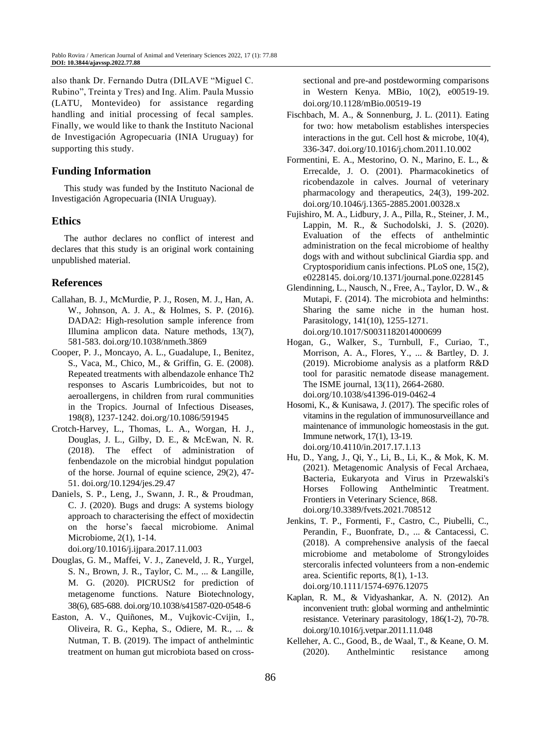also thank Dr. Fernando Dutra (DILAVE "Miguel C. Rubino", Treinta y Tres) and Ing. Alim. Paula Mussio (LATU, Montevideo) for assistance regarding handling and initial processing of fecal samples. Finally, we would like to thank the Instituto Nacional de Investigación Agropecuaria (INIA Uruguay) for supporting this study.

# **Funding Information**

This study was funded by the Instituto Nacional de Investigación Agropecuaria (INIA Uruguay).

# **Ethics**

The author declares no conflict of interest and declares that this study is an original work containing unpublished material.

# **References**

- Callahan, B. J., McMurdie, P. J., Rosen, M. J., Han, A. W., Johnson, A. J. A., & Holmes, S. P. (2016). DADA2: High-resolution sample inference from Illumina amplicon data. Nature methods, 13(7), 581-583. doi.org/10.1038/nmeth.3869
- Cooper, P. J., Moncayo, A. L., Guadalupe, I., Benitez, S., Vaca, M., Chico, M., & Griffin, G. E. (2008). Repeated treatments with albendazole enhance Th2 responses to Ascaris Lumbricoides, but not to aeroallergens, in children from rural communities in the Tropics. Journal of Infectious Diseases, 198(8), 1237-1242. doi.org/10.1086/591945
- Crotch-Harvey, L., Thomas, L. A., Worgan, H. J., Douglas, J. L., Gilby, D. E., & McEwan, N. R. (2018). The effect of administration of fenbendazole on the microbial hindgut population of the horse. Journal of equine science, 29(2), 47- 51. doi.org/10.1294/jes.29.47
- Daniels, S. P., Leng, J., Swann, J. R., & Proudman, C. J. (2020). Bugs and drugs: A systems biology approach to characterising the effect of moxidectin on the horse's faecal microbiome. Animal Microbiome, 2(1), 1-14.

doi.org/10.1016/j.ijpara.2017.11.003

- Douglas, G. M., Maffei, V. J., Zaneveld, J. R., Yurgel, S. N., Brown, J. R., Taylor, C. M., ... & Langille, M. G. (2020). PICRUSt2 for prediction of metagenome functions. Nature Biotechnology, 38(6), 685-688. doi.org/10.1038/s41587-020-0548-6
- Easton, A. V., Quiñones, M., Vujkovic-Cvijin, I., Oliveira, R. G., Kepha, S., Odiere, M. R., ... & Nutman, T. B. (2019). The impact of anthelmintic treatment on human gut microbiota based on cross-

sectional and pre-and postdeworming comparisons in Western Kenya. MBio, 10(2), e00519-19. doi.org/10.1128/mBio.00519-19

- Fischbach, M. A., & Sonnenburg, J. L. (2011). Eating for two: how metabolism establishes interspecies interactions in the gut. Cell host & microbe, 10(4), 336-347. doi.org/10.1016/j.chom.2011.10.002
- Formentini, E. A., Mestorino, O. N., Marino, E. L., & Errecalde, J. O. (2001). Pharmacokinetics of ricobendazole in calves. Journal of veterinary pharmacology and therapeutics, 24(3), 199-202. doi.org/10.1046/j.1365-2885.2001.00328.x
- Fujishiro, M. A., Lidbury, J. A., Pilla, R., Steiner, J. M., Lappin, M. R., & Suchodolski, J. S. (2020). Evaluation of the effects of anthelmintic administration on the fecal microbiome of healthy dogs with and without subclinical Giardia spp. and Cryptosporidium canis infections. PLoS one, 15(2), e0228145. doi.org/10.1371/journal.pone.0228145
- Glendinning, L., Nausch, N., Free, A., Taylor, D. W., & Mutapi, F. (2014). The microbiota and helminths: Sharing the same niche in the human host. Parasitology, 141(10), 1255-1271. doi.org/10.1017/S0031182014000699
- Hogan, G., Walker, S., Turnbull, F., Curiao, T., Morrison, A. A., Flores, Y., ... & Bartley, D. J. (2019). Microbiome analysis as a platform R&D tool for parasitic nematode disease management. The ISME journal, 13(11), 2664-2680. doi.org/10.1038/s41396-019-0462-4
- Hosomi, K., & Kunisawa, J. (2017). The specific roles of vitamins in the regulation of immunosurveillance and maintenance of immunologic homeostasis in the gut. Immune network, 17(1), 13-19. doi.org/10.4110/in.2017.17.1.13
- Hu, D., Yang, J., Qi, Y., Li, B., Li, K., & Mok, K. M. (2021). Metagenomic Analysis of Fecal Archaea, Bacteria, Eukaryota and Virus in Przewalski's Horses Following Anthelmintic Treatment. Frontiers in Veterinary Science, 868. doi.org/10.3389/fvets.2021.708512
- Jenkins, T. P., Formenti, F., Castro, C., Piubelli, C., Perandin, F., Buonfrate, D., ... & Cantacessi, C. (2018). A comprehensive analysis of the faecal microbiome and metabolome of Strongyloides stercoralis infected volunteers from a non-endemic area. Scientific reports, 8(1), 1-13. doi.org/10.1111/1574-6976.12075
- Kaplan, R. M., & Vidyashankar, A. N. (2012). An inconvenient truth: global worming and anthelmintic resistance. Veterinary parasitology, 186(1-2), 70-78. doi.org/10.1016/j.vetpar.2011.11.048
- Kelleher, A. C., Good, B., de Waal, T., & Keane, O. M. (2020). Anthelmintic resistance among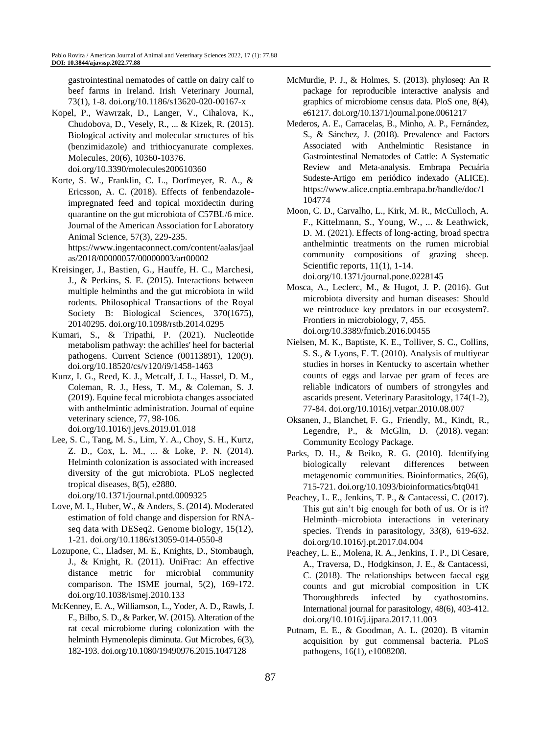gastrointestinal nematodes of cattle on dairy calf to beef farms in Ireland. Irish Veterinary Journal, 73(1), 1-8. doi.org/10.1186/s13620-020-00167-x

- Kopel, P., Wawrzak, D., Langer, V., Cihalova, K., Chudobova, D., Vesely, R., ... & Kizek, R. (2015). Biological activity and molecular structures of bis (benzimidazole) and trithiocyanurate complexes. Molecules, 20(6), 10360-10376. doi.org/10.3390/molecules200610360
- Korte, S. W., Franklin, C. L., Dorfmeyer, R. A., & Ericsson, A. C. (2018). Effects of fenbendazoleimpregnated feed and topical moxidectin during quarantine on the gut microbiota of C57BL/6 mice. Journal of the American Association for Laboratory Animal Science, 57(3), 229-235. https://www.ingentaconnect.com/content/aalas/jaal

as/2018/00000057/00000003/art00002

- Kreisinger, J., Bastien, G., Hauffe, H. C., Marchesi, J., & Perkins, S. E. (2015). Interactions between multiple helminths and the gut microbiota in wild rodents. Philosophical Transactions of the Royal Society B: Biological Sciences, 370(1675), 20140295. doi.org/10.1098/rstb.2014.0295
- Kumari, S., & Tripathi, P. (2021). Nucleotide metabolism pathway: the achilles' heel for bacterial pathogens. Current Science (00113891), 120(9). doi.org/10.18520/cs/v120/i9/1458-1463
- Kunz, I. G., Reed, K. J., Metcalf, J. L., Hassel, D. M., Coleman, R. J., Hess, T. M., & Coleman, S. J. (2019). Equine fecal microbiota changes associated with anthelmintic administration. Journal of equine veterinary science, 77, 98-106. doi.org/10.1016/j.jevs.2019.01.018
- Lee, S. C., Tang, M. S., Lim, Y. A., Choy, S. H., Kurtz, Z. D., Cox, L. M., ... & Loke, P. N. (2014). Helminth colonization is associated with increased diversity of the gut microbiota. PLoS neglected tropical diseases, 8(5), e2880.

doi.org/10.1371/journal.pntd.0009325

- Love, M. I., Huber, W., & Anders, S. (2014). Moderated estimation of fold change and dispersion for RNAseq data with DESeq2. Genome biology, 15(12), 1-21. doi.org/10.1186/s13059-014-0550-8
- Lozupone, C., Lladser, M. E., Knights, D., Stombaugh, J., & Knight, R. (2011). UniFrac: An effective distance metric for microbial community comparison. The ISME journal, 5(2), 169-172. doi.org/10.1038/ismej.2010.133
- McKenney, E. A., Williamson, L., Yoder, A. D., Rawls, J. F., Bilbo, S. D., & Parker, W. (2015). Alteration of the rat cecal microbiome during colonization with the helminth Hymenolepis diminuta. Gut Microbes, 6(3), 182-193. doi.org/10.1080/19490976.2015.1047128
- McMurdie, P. J., & Holmes, S. (2013). phyloseq: An R package for reproducible interactive analysis and graphics of microbiome census data. PloS one, 8(4), e61217. doi.org/10.1371/journal.pone.0061217
- Mederos, A. E., Carracelas, B., Minho, A. P., Fernández, S., & Sánchez, J. (2018). Prevalence and Factors Associated with Anthelmintic Resistance in Gastrointestinal Nematodes of Cattle: A Systematic Review and Meta-analysis. Embrapa Pecuária Sudeste-Artigo em periódico indexado (ALICE). https://www.alice.cnptia.embrapa.br/handle/doc/1 104774
- Moon, C. D., Carvalho, L., Kirk, M. R., McCulloch, A. F., Kittelmann, S., Young, W., ... & Leathwick, D. M. (2021). Effects of long-acting, broad spectra anthelmintic treatments on the rumen microbial community compositions of grazing sheep. Scientific reports, 11(1), 1-14. doi.org/10.1371/journal.pone.0228145
- Mosca, A., Leclerc, M., & Hugot, J. P. (2016). Gut microbiota diversity and human diseases: Should we reintroduce key predators in our ecosystem?. Frontiers in microbiology, 7, 455. doi.org/10.3389/fmicb.2016.00455
- Nielsen, M. K., Baptiste, K. E., Tolliver, S. C., Collins, S. S., & Lyons, E. T. (2010). Analysis of multiyear studies in horses in Kentucky to ascertain whether counts of eggs and larvae per gram of feces are reliable indicators of numbers of strongyles and ascarids present. Veterinary Parasitology, 174(1-2), 77-84. doi.org/10.1016/j.vetpar.2010.08.007
- Oksanen, J., Blanchet, F. G., Friendly, M., Kindt, R., Legendre, P., & McGlin, D. (2018). vegan: Community Ecology Package.
- Parks, D. H., & Beiko, R. G. (2010). Identifying biologically relevant differences between metagenomic communities. Bioinformatics, 26(6), 715-721. doi.org/10.1093/bioinformatics/btq041
- Peachey, L. E., Jenkins, T. P., & Cantacessi, C. (2017). This gut ain't big enough for both of us. Or is it? Helminth–microbiota interactions in veterinary species. Trends in parasitology, 33(8), 619-632. doi.org/10.1016/j.pt.2017.04.004
- Peachey, L. E., Molena, R. A., Jenkins, T. P., Di Cesare, A., Traversa, D., Hodgkinson, J. E., & Cantacessi, C. (2018). The relationships between faecal egg counts and gut microbial composition in UK Thoroughbreds infected by cyathostomins. International journal for parasitology, 48(6), 403-412. doi.org/10.1016/j.ijpara.2017.11.003
- Putnam, E. E., & Goodman, A. L. (2020). B vitamin acquisition by gut commensal bacteria. PLoS pathogens, 16(1), e1008208.